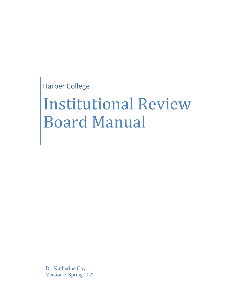Harper College

# Institutional Review Board Manual

Dr. Katherine Coy Version 3 Spring 2022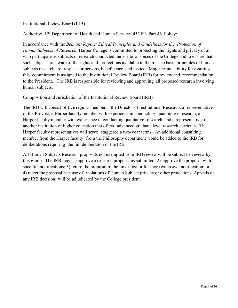Institutional Review Board (IRB)

Authority: US Department of Health and Human Services 45CFR, Part 46 Policy:

In accordance with the *Belmont Report: Ethical Principles and Guidelines for the Protection of Human Subjects of Research*, Harper College is committed to protecting the rights and privacy of all who participate as subjects in research conducted under the auspices of the College and to ensure that such subjects are aware of the rights and protections available to them. The basic principles of human subjects research are respect for persons, beneficence, and justice. Major responsibility for assuring this commitment is assigned to the Institutional Review Board (IRB) for review and recommendation to the President. The IRB is responsible for reviewing and approving all proposed research involving human subjects.

Composition and Jurisdiction of the Institutional Review Board (IRB)

The IRB will consist of five regular members: the Director of Institutional Research, a representative of the Provost, a Harper faculty member with experience in conducting quantitative research, a Harper faculty member with experience in conducting qualitative research, and a representative of another institution of higher education that offers advanced graduate level research curricula. The Harper faculty representatives will serve staggered a two-year terms. An additional consulting member from the Harper faculty from the Philosophy department would be added to the IRB for deliberations requiring the full deliberation of the IRB.

All Human Subjects Research proposals not exempted from IRB review will be subject to review by this group. The IRB may: 1) approve a research proposal as submitted; 2) approve the proposal with specific modifications; 3) return the proposal to the investigator for more extensive modification; or, 4) reject the proposal because of violations of Human Subject privacy or other protections. Appeals of any IRB decision will be adjudicated by the College president.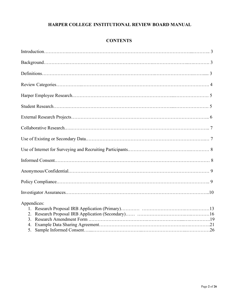# **HARPER COLLEGE INSTITUTIONAL REVIEW BOARD MANUAL**

# **CONTENTS**

| Appendices: |
|-------------|
|             |
| 2.          |
| 3.          |
| 4.          |
| 5.          |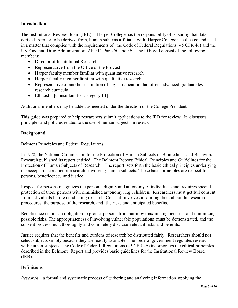# **Introduction**

The Institutional Review Board (IRB) at Harper College has the responsibility of ensuring that data derived from, or to be derived from, human subjects affiliated with Harper College is collected and used in a matter that complies with the requirements of the Code of Federal Regulations (45 CFR 46) and the US Food and Drug Administration 21CFR, Parts 50 and 56. The IRB will consist of the following members:

- Director of Institutional Research
- Representative from the Office of the Provost
- Harper faculty member familiar with quantitative research
- Harper faculty member familiar with qualitative research
- Representative of another institution of higher education that offers advanced graduate level research curricula
- Ethicist [Consultant for Category III]

Additional members may be added as needed under the direction of the College President.

This guide was prepared to help researchers submit applications to the IRB for review. It discusses principles and policies related to the use of human subjects in research.

# **Background**

Belmont Principles and Federal Regulations

In 1978, the National Commission for the Protection of Human Subjects of Biomedical and Behavioral Research published its report entitled "The Belmont Report: Ethical Principles and Guidelines for the Protection of Human Subjects of Research." The report sets forth the basic ethical principles underlying the acceptable conduct of research involving human subjects. Those basic principles are respect for persons, beneficence, and justice.

Respect for persons recognizes the personal dignity and autonomy of individuals and requires special protection of those persons with diminished autonomy, e.g., children. Researchers must get full consent from individuals before conducting research. Consent involves informing them about the research procedures, the purpose of the research, and the risks and anticipated benefits.

Beneficence entails an obligation to protect persons from harm by maximizing benefits and minimizing possible risks. The appropriateness of involving vulnerable populations must be demonstrated, and the consent process must thoroughly and completely disclose relevant risks and benefits.

Justice requires that the benefits and burdens of research be distributed fairly. Researchers should not select subjects simply because they are readily available. The federal government regulates research with human subjects. The Code of Federal Regulations (45 CFR 46) incorporates the ethical principles described in the Belmont Report and provides basic guidelines for the Institutional Review Board (IRB).

# **Definitions**

*Research* – a formal and systematic process of gathering and analyzing information applying the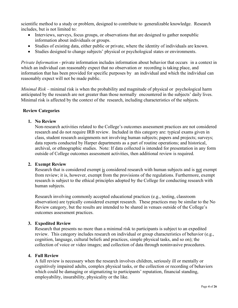scientific method to a study or problem, designed to contribute to generalizable knowledge. Research includes, but is not limited to:

- Interviews, surveys, focus groups, or observations that are designed to gather nonpublic information about individuals or groups.
- Studies of existing data, either public or private, where the identity of individuals are known.
- Studies designed to change subjects' physical or psychological states or environments.

*Private Information* - private information includes information about behavior that occurs in a context in which an individual can reasonably expect that no observation or recording is taking place, and information that has been provided for specific purposes by an individual and which the individual can reasonably expect will not be made public.

*Minimal Risk* – minimal risk is when the probability and magnitude of physical or psychological harm anticipated by the research are not greater than those normally encountered in the subjects' daily lives. Minimal risk is affected by the context of the research, including characteristics of the subjects.

# **Review Categories**

# **1. No Review**

Non-research activities related to the College's outcomes assessment practices are not considered research and do not require IRB review. Included in this category are: typical exams given in class, student research assignments not involving human subjects; papers and projects; surveys; data reports conducted by Harper departments as a part of routine operations; and historical, archival, or ethnographic studies. Note: If data collected is intended for presentation in any form outside of College outcomes assessment activities, then additional review is required.

# **2. Exempt Review**

Research that is considered exempt is considered research with human subjects and is not exempt from review; it is, however, exempt from the provisions of the regulations. Furthermore, exempt research is subject to the ethical principles adopted by the College for conducting research with human subjects.

Research involving commonly accepted educational practices (e.g., testing, classroom observation) are typically considered exempt research. These practices may be similar to the No Review category, but the results are intended to be shared in venues outside of the College's outcomes assessment practices.

# **3. Expedited Review**

Research that presents no more than a minimal risk to participants is subject to an expedited review. This category includes research on individual or group characteristics of behavior (e.g., cognition, language, cultural beliefs and practices, simple physical tasks, and so on); the collection of voice or video images; and collection of data through noninvasive procedures.

# **4. Full Review**

A full review is necessary when the research involves children, seriously ill or mentally or cognitively impaired adults, complex physical tasks, or the collection or recording of behaviors which could be damaging or stigmatizing to participants' reputation, financial standing, employability, insurability, physicality or the like.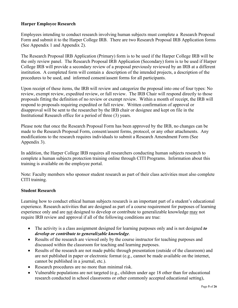# **Harper Employee Research**

Employees intending to conduct research involving human subjects must complete a Research Proposal Form and submit it to the Harper College IRB. There are two Research Proposal IRB Application forms (See Appendix 1 and Appendix 2).

The Research Proposal IRB Application (Primary) form is to be used if the Harper College IRB will be the only review panel. The Research Proposal IRB Application (Secondary) form is to be used if Harper College IRB will provide a secondary review of a proposal previously reviewed by an IRB at a different institution. A completed form will contain a description of the intended projects, a description of the procedures to be used, and informed consent/assent forms for all participants.

Upon receipt of these items, the IRB will review and categorize the proposal into one of four types: No review, exempt review, expedited review, or full review. The IRB Chair will respond directly to those proposals fitting the definition of no review or exempt review. Within a month of receipt, the IRB will respond to proposals requiring expedited or full review. Written confirmation of approval or disapproval will be sent to the researcher by the IRB chair or designee and kept on file in the Institutional Research office for a period of three (3) years.

Please note that once the Research Proposal Form has been approved by the IRB, no changes can be made to the Research Proposal Form, consent/assent forms, protocol, or any other attachments. Any modifications to the research requires individuals to submit a Research Amendment Form (See Appendix 3).

In addition, the Harper College IRB requires all researchers conducting human subjects research to complete a human subjects protection training online through CITI Programs. Information about this training is available on the employee portal.

Note: Faculty members who sponsor student research as part of their class activities must also complete CITI training.

# **Student Research**

Learning how to conduct ethical human subjects research is an important part of a student's educational experience. Research activities that are designed as part of a course requirement for purposes of learning experience only and are not designed to develop or contribute to generalizable knowledge may not require IRB review and approval if all of the following conditions are true:

- The activity is a class assignment designed for learning purposes only and is not designed *to develop or contribute to generalizable knowledge*.
- Results of the research are viewed only by the course instructor for teaching purposes and discussed within the classroom for teaching and learning purposes.
- Results of the research are not made public through presentation (outside of the classroom) and are not published in paper or electronic format (e.g., cannot be made available on the internet, cannot be published in a journal, etc.).
- Research procedures are no more than minimal risk.
- Vulnerable populations are not targeted (e.g., children under age 18 other than for educational research conducted in school classrooms or other commonly accepted educational setting),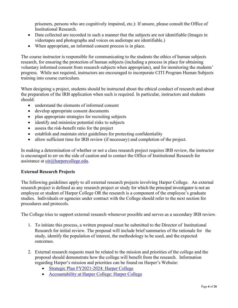prisoners, persons who are cognitively impaired, etc.): If unsure, please consult the Office of Institutional Research.

- Data collected are recorded in such a manner that the subjects are not identifiable (Images in videotapes and photographs and voices on audiotape are identifiable.)
- When appropriate, an informed consent process is in place.

The course instructor is responsible for communicating to the students the ethics of human subjects research, for ensuring the protection of human subjects (including a process in place for obtaining voluntary informed consent from research subjects when appropriate), and for monitoring the students' progress. While not required, instructors are encouraged to incorporate CITI Program Human Subjects training into course curriculum.

When designing a project, students should be instructed about the ethical conduct of research and about the preparation of the IRB application when such is required. In particular, instructors and students should:

- understand the elements of informed consent
- develop appropriate consent documents
- plan appropriate strategies for recruiting subjects
- identify and minimize potential risks to subjects
- assess the risk-benefit ratio for the project
- establish and maintain strict guidelines for protecting confidentiality
- allow sufficient time for IRB review (if necessary) and completion of the project.

In making a determination of whether or not a class research project requires IRB review, the instructor is encouraged to err on the side of caution and to contact the Office of Institutional Research for assistance at  $\text{oir}(\widehat{a})$  harpercollege.edu.

# **External Research Projects**

The following guidelines apply to all external research projects involving Harper College. An external research project is defined as any research project or study for which the principal investigator is not an employee or student of Harper College OR the research is a component of the employee's graduate studies. Individuals or agencies under contract with the College should refer to the next section for procedures and protocols.

The College tries to support external research whenever possible and serves as a secondary IRB review.

- 1. To initiate this process, a written proposal must be submitted to the Director of Institutional Research for initial review. The proposal will include brief summaries of the rationale for the study, identify the population of interest, the methodology to be used, and the expected outcomes.
- 2. External research requests must be related to the mission and priorities of the college and the proposal should demonstrate how the college will benefit from the research. Information regarding Harper's mission and priorities can be found on Harper's Website:
	- [Strategic Plan FY2021-2024: Harper College](https://www.harpercollege.edu/leadership/planning/strategicplan21-24.php)
	- [Accountability at Harper College: Harper College](https://www.harpercollege.edu/leadership/accountability/index.php)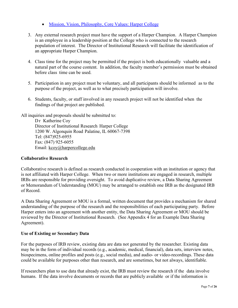- [Mission, Vision, Philosophy, Core Values: Harper College](https://www.harpercollege.edu/leadership/mission/index.php)
- 3. Any external research project must have the support of a Harper Champion. A Harper Champion is an employee in a leadership position at the College who is connected to the research population of interest. The Director of Institutional Research will facilitate the identification of an appropriate Harper Champion.
- 4. Class time for the project may be permitted if the project is both educationally valuable and a natural part of the course content. In addition, the faculty member's permission must be obtained before class time can be used.
- 5. Participation in any project must be voluntary, and all participants should be informed as to the purpose of the project, as well as to what precisely participation will involve.
- 6. Students, faculty, or staff involved in any research project will not be identified when the findings of that project are published.

All inquiries and proposals should be submitted to:

Dr Katherine Coy Director of Institutional Research Harper College 1200 W. Algonquin Road Palatine, IL 60067-7398 Tel: (847)925-6955 Fax: (847) 925-6055 Email: [kcoy@harpercollege.edu](mailto:kcoy@harpercollege.edu)

# **Collaborative Research**

Collaborative research is defined as research conducted in cooperation with an institution or agency that is not affiliated with Harper College. When two or more institutions are engaged in research, multiple IRBs are responsible for providing oversight. To avoid duplicative review, a Data Sharing Agreement or Memorandum of Understanding (MOU) may be arranged to establish one IRB as the designated IRB of Record.

A Data Sharing Agreement or MOU is a formal, written document that provides a mechanism for shared understanding of the purpose of the research and the responsibilities of each participating party. Before Harper enters into an agreement with another entity, the Data Sharing Agreement or MOU should be reviewed by the Director of Institutional Research. (See Appendix 4 for an Example Data Sharing Agreement).

# **Use of Existing or Secondary Data**

For the purposes of IRB review, existing data are data not generated by the researcher. Existing data may be in the form of individual records (e.g., academic, medical, financial), data sets, interview notes, biospecimens, online profiles and posts (e.g., social media), and audio- or video-recordings. These data could be available for purposes other than research, and are sometimes, but not always, identifiable.

If researchers plan to use data that already exist, the IRB must review the research if the data involve humans. If the data involve documents or records that are publicly available or if the information is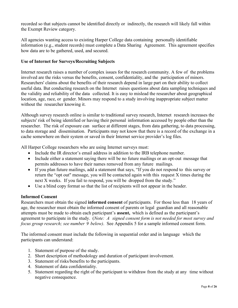recorded so that subjects cannot be identified directly or indirectly, the research will likely fall within the Exempt Review category.

All agencies wanting access to existing Harper College data containing personally identifiable information (e.g., student records) must complete a Data Sharing Agreement. This agreement specifies how data are to be gathered, used, and secured.

# **Use of Internet for Surveys/Recruiting Subjects**

Internet research raises a number of complex issues for the research community. A few of the problems involved are the risks versus the benefits, consent, confidentiality, and the participation of minors. Researchers' claims about the benefits of their research depend in large part on their ability to collect useful data. But conducting research on the Internet raises questions about data sampling techniques and the validity and reliability of the data collected. It is easy to mislead the researcher about geographical location, age, race, or gender. Minors may respond to a study involving inappropriate subject matter without the researcher knowing it.

Although survey research online is similar to traditional survey research, Internet research increases the subjects' risk of being identified or having their personal information accessed by people other than the researcher. The risk of exposure can surface at different stages, from data gathering, to data processing, to data storage and dissemination. Participants may not know that there is a record of the exchange in a cache somewhere on their system or saved in their Internet service provider's log files.

All Harper College researchers who are using Internet surveys must:

- Include the IR director's email address in addition to the IRB telephone number.
- Include either a statement saying there will be no future mailings or an opt-out message that permits addresses to have their names removed from any future mailings.
- If you plan future mailings, add a statement that says, "If you do not respond to this survey or return the "opt out" message, you will be contacted again with this request X times during the next X weeks. If you fail to respond, you will be dropped from the study."
- Use a blind copy format so that the list of recipients will not appear in the header.

# **Informed Consent**

Researchers must obtain the signed **informed consent** of participants. For those less than 18 years of age, the researcher must obtain the informed consent of parents or legal guardian and all reasonable attempts must be made to obtain each participant's **assent,** which is defined as the participant's agreement to participate in the study. (*Note: A signed consent form is not needed for most survey and focus group research; see number 9 below)*. See Appendix 5 for a sample informed consent form.

The informed consent must include the following in sequential order and in language which the participants can understand:

- 1. Statement of purpose of the study.
- 2. Short description of methodology and duration of participant involvement.
- 3. Statement of risks/benefits to the participants.
- 4. Statement of data confidentiality.
- 5. Statement regarding the right of the participant to withdraw from the study at any time without negative consequence.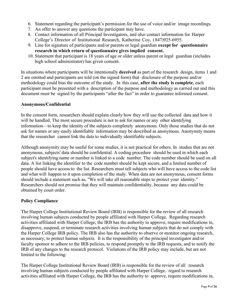- 6. Statement regarding the participant's permission for the use of voice and/or image recordings.
- 7. An offer to answer any questions the participant may have.
- 8. Contact information of all Principal Investigators, and also contact information for Harper College's Director of Institutional Research, Katherine Coy, ( 847)925-6955.
- 9. Line for signature of participants and/or parents or legal guardian **except for questionnaire research in which return of questionnaire gives implied consent.**
- 10. Statement that participant is 18 years of age or older unless parent or legal guardian (includes high school administrator) has given consent.

In situations where participants will be intentionally **deceived** as part of the research design, items 1 and 2 are omitted and participants are told (on the signed form) that disclosure of the purpose and/or methodology could bias the outcome of the study. In this case, **after the study is complete**, each participant must be presented with a description of the purpose and methodology as carried out and this document must be signed by the participants "after the fact" in order to guarantee informed consent.

# **Anonymous/Confidential**

In the consent form, researchers should explain clearly how they will use the collected data and how it will be handled. The most secure procedure is not to ask for names or any other identifying information—to keep the identity of the subjects completely anonymous. Only those studies that do not ask for names or any easily identifiable information may be described as anonymous. Anonymity means that the researcher cannot link the data to individually identifiable subjects.

Although anonymity may be useful for some studies, it is not practical for others. In studies that are not anonymous, subjects' data should be confidential. A coding procedure should be used in which each subject's identifying name or number is linked to a code number. The code number should be used on all data. A list linking the identifier to the code number should be kept secure, and a limited number of people should have access to the list. Researchers must tell subjects who will have access to the code list and what will happen to it upon completion of the study. When data are not anonymous, consent forms should include a statement such as, "We will take all reasonable steps to protect your identity." Researchers should not promise that they will maintain confidentiality, because any data could be obtained by court order.

# **Policy Compliance**

The Harper College Institutional Review Board (IRB) is responsible for the review of all research involving human subjects conducted by people affiliated with Harper College. Regarding research activities affiliated with Harper College, the IRB has the authority to approve, require modifications in, disapprove, suspend, or terminate research activities involving human subjects that do not comply with the Harper College IRB policy. The IRB also has the authority to observe or monitor ongoing research, as necessary, to protect human subjects. It is the responsibility of the principal investigator and/or faculty sponsor to adhere to the IRB policies, to respond promptly to the IRB requests, and to notify the IRB of any changes to the research protocol. Violations of the IRB policy may include, but are not limited to the following:

The Harper College Institutional Review Board (IRB) is responsible for the review of all research involving human subjects conducted by people affiliated with Harper College. regard to research activities affiliated with Harper College, the IRB has the authority to approve, require modifications in,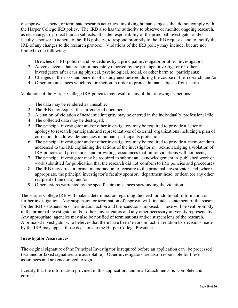disapprove, suspend, or terminate research activities involving human subjects that do not comply with the Harper College IRB policy. The IRB also has the authority to observe or monitor ongoing research, as necessary, to protect human subjects. It is the responsibility of the principal investigator and/or faculty sponsor to adhere to the IRB policies, to respond promptly to the IRB requests, and to notify the IRB of any changes to the research protocol. Violations of the IRB policy may include, but are not limited to the following:

- 1. Breaches of IRB policies and procedures by a principal investigator or other investigators;
- 2. Adverse events that are not immediately reported by the principal investigator or other investigators after causing physical, psychological, social, or other harm to participants;
- 3. Changes in the risks and benefits of a study encountered during the course of the research; and/or
- 4. Other circumstances which require action in order to protect human subjects from harm.

Violations of the Harper College IRB policies may result in any of the following sanctions:

- 1. The data may be rendered as unusable;
- 2. The IRB may request the surrender of documents;
- 3. A citation of violation of academic integrity may be entered in the individual's professional file;
- 4. The collected data may be destroyed;
- 5. The principal investigator and/or other investigators may be required to provide a letter of apology to research participants and representatives of external organizations including a plan of correction to address deficiencies in human participants protections;
- 6. The principal investigator and/or other investigators may be required to provide a memorandum addressed to the IRB explaining the actions of the investigator(s), acknowledging a violation of IRB policies and procedures, and providing assurances that future violations will not occur;
- 7. The principal investigator may be required to submit an acknowledgement in published work or work submitted for publication that the research did not conform to IRB policies and procedures;
- 8. The IRB may direct a formal memorandum of censure to the principal investigator, and, where appropriate, the principal investigator's faculty sponsor, department head, or dean (or any other recipient of the data); and/or
- 9. Other actions warranted by the specific circumstances surrounding the violation.

The Harper College IRB will make a determination regarding the need for additional information or further investigation. Any suspension or termination of approval will include a statement of the reasons for the IRB's suspension or termination action and the sanctions imposed. These will be sent promptly to the principal investigator and/or other investigators and any other necessary university representative. Any appropriate agencies may also be notified of terminations and/or suspensions of the research. A principal investigator who believes that there have been 'errors in fact' in relation to decisions made by the IRB may appeal those decisions to the Harper College President.

#### **Investigator Assurances**

The original signature of the Principal Investigator is required before an application can be processed (scanned or faxed signatures are acceptable). Other investigators are also responsible for these assurances and are encouraged to sign.

I certify that the information provided in this application, and in all attachments, is complete and correct.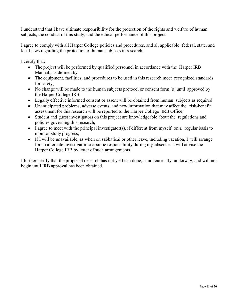I understand that I have ultimate responsibility for the protection of the rights and welfare of human subjects, the conduct of this study, and the ethical performance of this project.

I agree to comply with all Harper College policies and procedures, and all applicable federal, state, and local laws regarding the protection of human subjects in research.

I certify that:

- The project will be performed by qualified personnel in accordance with the Harper IRB Manual., as defined by
- The equipment, facilities, and procedures to be used in this research meet recognized standards for safety;
- No change will be made to the human subjects protocol or consent form (s) until approved by the Harper College IRB;
- Legally effective informed consent or assent will be obtained from human subjects as required
- Unanticipated problems, adverse events, and new information that may affect the risk-benefit assessment for this research will be reported to the Harper College IRB Office;
- Student and guest investigators on this project are knowledgeable about the regulations and policies governing this research;
- I agree to meet with the principal investigator(s), if different from myself, on a regular basis to monitor study progress;
- If I will be unavailable, as when on sabbatical or other leave, including vacation, I will arrange for an alternate investigator to assume responsibility during my absence. I will advise the Harper College IRB by letter of such arrangements.

I further certify that the proposed research has not yet been done, is not currently underway, and will not begin until IRB approval has been obtained.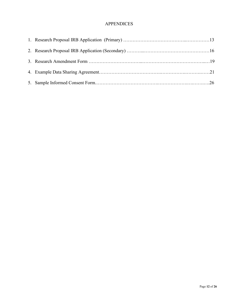# APPENDICES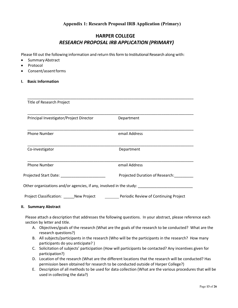# **Appendix 1: Research Proposal IRB Application (Primary)**

# **HARPER COLLEGE**  *RESEARCH PROPOSAL IRB APPLICATION (PRIMARY)*

Please fill out the following information and return this form to Institutional Research along with:

- Summary Abstract
- Protocol
- Consent/assentforms
- **I. Basic Information**

| <b>Title of Research Project</b>                                                                                                                                                                                               |                                       |  |  |  |
|--------------------------------------------------------------------------------------------------------------------------------------------------------------------------------------------------------------------------------|---------------------------------------|--|--|--|
| Principal Investigator/Project Director                                                                                                                                                                                        | Department                            |  |  |  |
| <b>Phone Number</b>                                                                                                                                                                                                            | email Address                         |  |  |  |
| Co-investigator                                                                                                                                                                                                                | Department                            |  |  |  |
| <b>Phone Number</b>                                                                                                                                                                                                            | email Address                         |  |  |  |
| Projected Start Date: Note that the state of the state of the state of the state of the state of the state of the state of the state of the state of the state of the state of the state of the state of the state of the stat | Projected Duration of Research:       |  |  |  |
| Other organizations and/or agencies, if any, involved in the study: _____________                                                                                                                                              |                                       |  |  |  |
| Project Classification: New Project                                                                                                                                                                                            | Periodic Review of Continuing Project |  |  |  |

\_\_\_\_\_\_\_\_\_\_\_\_\_\_\_\_\_\_\_\_\_\_\_\_\_\_\_\_\_\_\_\_\_\_\_\_\_\_\_\_\_\_\_\_\_\_\_\_\_\_\_\_\_\_\_\_\_\_\_\_\_\_\_\_\_\_\_\_\_\_\_\_\_\_\_\_\_\_

#### **II. Summary Abstract**

Please attach a description that addresses the following questions. In your abstract, please reference each section by letter and title.

- A. Objectives/goals of the research (What are the goals of the research to be conducted? What are the research questions?)
- B. All subjects/participants in the research (Who will be the participants in the research? How many participants do you anticipate? )
- C. Solicitation of subjects' participation (How will participants be contacted? Any incentives given for participation?)
- D. Location of the research (What are the different locations that the research will be conducted? Has permission been obtained for research to be conducted outside of Harper College?)
- E. Description of all methods to be used for data collection (What are the various procedures that will be used in collecting the data?)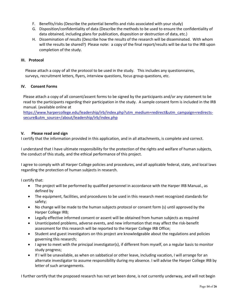- F. Benefits/risks (Describe the potential benefits and risks associated with your study)
- G. Disposition/confidentiality of data (Describe the methods to be used to ensure the confidentiality of data obtained, including plans for publication, disposition or destruction of data, etc.)
- H. Dissemination of results (Describe how the results of the research will be disseminated. With whom will the results be shared?) Please note: a copy of the final report/results will be due to the IRB upon completion of the study.

#### **III. Protocol**

Please attach a copy of all the protocol to be used in the study. This includes any questionnaires, surveys, recruitment letters, flyers, interview questions, focus group questions, etc.

#### **IV. Consent Forms**

Please attach a copy of all consent/assent forms to be signed by the participants and/or any statement to be read to the participants regarding their participation in the study. A sample consent form is included in the IRB manual. (available online at

[https://www.harpercollege.edu/leadership/irb/index.php?utm\\_medium=redirect&utm\\_campaign=redirects](https://www.harpercollege.edu/leadership/irb/index.php?utm_medium=redirect&utm_campaign=redirects-secure&utm_source=/about/leadership/irb/index.php)[secure&utm\\_source=/about/leadership/irb/index.php](https://www.harpercollege.edu/leadership/irb/index.php?utm_medium=redirect&utm_campaign=redirects-secure&utm_source=/about/leadership/irb/index.php)

#### **V. Please read and sign**

I certify that the information provided in this application, and in all attachments, is complete and correct.

I understand that I have ultimate responsibility for the protection of the rights and welfare of human subjects, the conduct of this study, and the ethical performance of this project.

I agree to comply with all Harper College policies and procedures, and all applicable federal, state, and local laws regarding the protection of human subjects in research.

I certify that:

- The project will be performed by qualified personnel in accordance with the Harper IRB Manual., as defined by
- The equipment, facilities, and procedures to be used in this research meet recognized standards for safety;
- No change will be made to the human subjects protocol or consent form (s) until approved by the Harper College IRB;
- Legally effective informed consent or assent will be obtained from human subjects as required
- Unanticipated problems, adverse events, and new information that may affect the risk-benefit assessment for this research will be reported to the Harper College IRB Office;
- Student and guest investigators on this project are knowledgeable about the regulations and policies governing this research;
- I agree to meet with the principal investigator(s), if different from myself, on a regular basis to monitor study progress;
- If I will be unavailable, as when on sabbatical or other leave, including vacation, I will arrange for an alternate investigator to assume responsibility during my absence. I will advise the Harper College IRB by letter of such arrangements.

I further certify that the proposed research has not yet been done, is not currently underway, and will not begin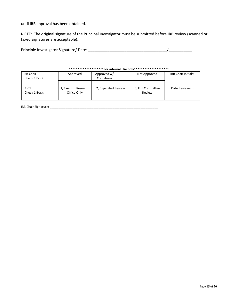until IRB approval has been obtained.

NOTE: The original signature of the Principal Investigator must be submitted before IRB review (scanned or faxed signatures are acceptable).

| Principle Investigator Signature/Date: |  |
|----------------------------------------|--|
|                                        |  |

# **\*\*\*\*\*\*\*\*\*\*\*\*\*\*\*\*\*\*\*\*For internal Use only\*\*\*\*\*\*\*\*\*\*\*\*\*\*\*\*\*\*\*\***

| <b>IRB Chair</b> | Approved            | Approved w/         | Not Approved      | <b>IRB Chair Initials:</b> |
|------------------|---------------------|---------------------|-------------------|----------------------------|
| (Check 1 Box):   |                     | Conditions          |                   |                            |
|                  |                     |                     |                   |                            |
|                  |                     |                     |                   |                            |
| LEVEL            | 1, Exempt; Research | 2, Expedited Review | 3, Full Committee | Date Reviewed:             |
| (Check 1 Box):   | Office Only         |                     | Review            |                            |

IRB Chair Signature: \_\_\_\_\_\_\_\_\_\_\_\_\_\_\_\_\_\_\_\_\_\_\_\_\_\_\_\_\_\_\_\_\_\_\_\_\_\_\_\_\_\_\_\_\_\_\_\_\_\_\_\_\_\_\_\_\_\_\_\_\_\_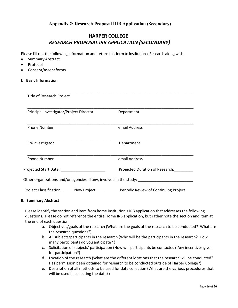# **Appendix 2: Research Proposal IRB Application (Secondary)**

# **HARPER COLLEGE** *RESEARCH PROPOSAL IRB APPLICATION (SECONDARY)*

Please fill out the following information and return this form to Institutional Research along with:

- Summary Abstract
- **Protocol**
- Consent/assentforms
- **I. Basic Information**

| Title of Research Project                                           |                                       |  |  |
|---------------------------------------------------------------------|---------------------------------------|--|--|
| Principal Investigator/Project Director                             | Department                            |  |  |
| <b>Phone Number</b>                                                 | email Address                         |  |  |
| Co-investigator                                                     | Department                            |  |  |
| <b>Phone Number</b>                                                 | email Address                         |  |  |
| Projected Start Date: National Control                              | Projected Duration of Research:       |  |  |
| Other organizations and/or agencies, if any, involved in the study: |                                       |  |  |
| Project Classification: New Project                                 | Periodic Review of Continuing Project |  |  |

#### **II. Summary Abstract**

Please identify the section and item from home institution's IRB application that addresses the following questions. Please do not reference the entire Home IRB application, but rather note the section and item at the end of each question.

- a. Objectives/goals of the research (What are the goals of the research to be conducted? What are the research questions?)
- b. All subjects/participants in the research (Who will be the participants in the research? How many participants do you anticipate? )
- c. Solicitation of subjects' participation (How will participants be contacted? Any incentives given for participation?)
- d. Location of the research (What are the different locations that the research will be conducted? Has permission been obtained for research to be conducted outside of Harper College?)
- e. Description of all methods to be used for data collection (What are the various procedures that will be used in collecting the data?)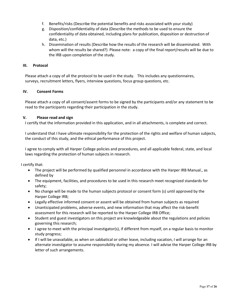- f. Benefits/risks (Describe the potential benefits and risks associated with your study)
- g. Disposition/confidentiality of data (Describe the methods to be used to ensure the confidentiality of data obtained, including plans for publication, disposition or destruction of data, etc.)
- h. Dissemination of results (Describe how the results of the research will be disseminated. With whom will the results be shared?) Please note: a copy of the final report/results will be due to the IRB upon completion of the study.

#### **III. Protocol**

Please attach a copy of all the protocol to be used in the study. This includes any questionnaires, surveys, recruitment letters, flyers, interview questions, focus group questions, etc.

#### **IV. Consent Forms**

Please attach a copy of all consent/assent forms to be signed by the participants and/or any statement to be read to the participants regarding their participation in the study.

#### **V. Please read and sign**

I certify that the information provided in this application, and in all attachments, is complete and correct.

I understand that I have ultimate responsibility for the protection of the rights and welfare of human subjects, the conduct of this study, and the ethical performance of this project.

I agree to comply with all Harper College policies and procedures, and all applicable federal, state, and local laws regarding the protection of human subjects in research.

I certify that:

- The project will be performed by qualified personnel in accordance with the Harper IRB Manual., as defined by
- The equipment, facilities, and procedures to be used in this research meet recognized standards for safety;
- No change will be made to the human subjects protocol or consent form (s) until approved by the Harper College IRB;
- Legally effective informed consent or assent will be obtained from human subjects as required
- Unanticipated problems, adverse events, and new information that may affect the risk-benefit assessment for this research will be reported to the Harper College IRB Office;
- Student and guest investigators on this project are knowledgeable about the regulations and policies governing this research;
- I agree to meet with the principal investigator(s), if different from myself, on a regular basis to monitor study progress;
- If I will be unavailable, as when on sabbatical or other leave, including vacation, I will arrange for an alternate investigator to assume responsibility during my absence. I will advise the Harper College IRB by letter of such arrangements.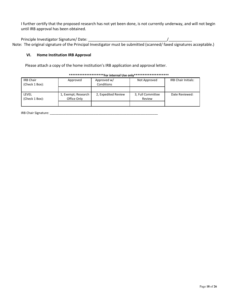I further certify that the proposed research has not yet been done, is not currently underway, and will not begin until IRB approval has been obtained.

Principle Investigator Signature/ Date: \_\_\_\_\_\_\_\_\_\_\_\_\_\_\_\_\_\_\_\_\_\_\_\_\_\_\_\_\_\_\_\_\_\_\_\_\_/\_\_\_\_\_\_\_\_\_\_\_ Note: The original signature of the Principal Investigator must be submitted (scanned/ faxed signatures acceptable.)

#### **VI. Home Institution IRB Approval**

Please attach a copy of the home institution's IRB application and approval letter.

| <b>IRB Chair</b><br>(Check 1 Box): | Approved                           | Approved w/<br>Conditions | Not Approved                | <b>IRB Chair Initials:</b> |
|------------------------------------|------------------------------------|---------------------------|-----------------------------|----------------------------|
|                                    |                                    |                           |                             |                            |
| LEVEL<br>(Check 1 Box):            | 1, Exempt; Research<br>Office Only | 2, Expedited Review       | 3, Full Committee<br>Review | Date Reviewed:             |
|                                    |                                    |                           |                             |                            |

#### **\*\*\*\*\*\*\*\*\*\*\*\*\*\*\*\*\*\*\*\*For internal Use only\*\*\*\*\*\*\*\*\*\*\*\*\*\*\*\*\*\*\*\***

IRB Chair Signature: \_\_\_\_\_\_\_\_\_\_\_\_\_\_\_\_\_\_\_\_\_\_\_\_\_\_\_\_\_\_\_\_\_\_\_\_\_\_\_\_\_\_\_\_\_\_\_\_\_\_\_\_\_\_\_\_\_\_\_\_\_\_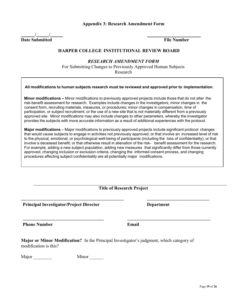#### **Appendix 3: Research Amendment Form**

**/ / Date Submitted File Number**

# **HARPER COLLEGE INSTITUTIONAL REVIEW BOARD**

# *RESEARCH AMENDMENT FORM*

For Submitting Changes to Previously Approved Human Subjects Research

#### **All modifications to human subjects research must be reviewed and approved prior to implementation.**

**Minor modifications –** Minor modifications to previously approved projects include those that do not alter the risk-benefit assessment for research. Examples include changes in the investigators; minor changes in the consent form, recruiting materials, measures, or procedures; minor changes in compensation, time of participation, or subject recruitment; or the use of a new site that is not materially different from a previously approved site. Minor modifications may also include changes to other parameters, whereby the investigator provides the subjects with more accurate information as a result of additional experiences with the protocol.

**Major modifications** – Major modifications to previously approved projects include significant protocol changes that would cause subjects to engage in activities not previously approved; or that involve an increased level of risk to the physical, emotional, or psychological well-being of participants (including the loss of confidentiality); or that involve a deceased benefit; or that otherwise result in alienation of the risk- benefit assessment for the research. For example, adding a new subject population, adding new measures that significantly differ from those currently approved, changing inclusion or exclusion criteria, changing the informed consent process, and changing procedures affecting subject confidentiality are all potentially major modifications.

**Title of Research Project**

**\_\_\_\_\_\_\_\_\_\_\_\_\_\_\_\_\_\_\_\_\_\_\_\_\_\_\_\_\_\_\_\_\_\_\_\_\_\_\_\_\_\_\_\_\_\_ \_\_\_\_\_\_\_\_\_\_\_\_\_\_\_\_\_\_\_\_\_\_\_\_\_\_\_\_**

**Principal Investigator/Project Director Department**

**Phone Number Email**

**Major or Minor Modification?** In the Principal Investigator's judgment, which category of modification is this?

| Major | Minor |
|-------|-------|
|       |       |

**\_\_\_\_\_\_\_\_\_\_\_\_\_\_\_\_\_\_\_\_\_\_\_\_\_\_\_\_\_\_\_\_\_\_\_\_\_ \_\_\_\_\_\_\_\_\_\_\_\_\_\_\_\_\_\_\_\_\_\_\_\_\_\_\_\_\_\_\_\_\_\_\_\_\_\_**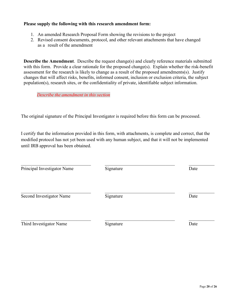# **Please supply the following with this research amendment form:**

- 1. An amended Research Proposal Form showing the revisions to the project
- 2. Revised consent documents, protocol, and other relevant attachments that have changed as a result of the amendment

**Describe the Amendment**. Describe the request change(s) and clearly reference materials submitted with this form. Provide a clear rationale for the proposed change(s). Explain whether the risk-benefit assessment for the research is likely to change as a result of the proposed amendments(s). Justify changes that will affect risks, benefits, informed consent, inclusion or exclusion criteria, the subject population(s), research sites, or the confidentiality of private, identifiable subject information.

*Describe the amendment in this section*

The original signature of the Principal Investigator is required before this form can be processed.

I certify that the information provided in this form, with attachments, is complete and correct, that the modified protocol has not yet been used with any human subject, and that it will not be implemented until IRB approval has been obtained.

| Principal Investigator Name | Signature | Date |
|-----------------------------|-----------|------|
| Second Investigator Name    | Signature | Date |
| Third Investigator Name     | Signature | Date |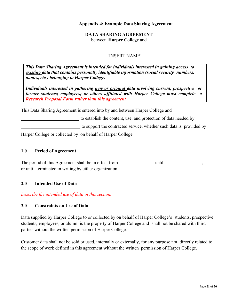# **Appendix 4: Example Data Sharing Agreement**

# **DATA SHARING AGREEMENT** between **Harper College** and

## [INSERT NAME]

*This Data Sharing Agreement is intended for individuals interested in gaining access to existing data that contains personally identifiable information (social security numbers, names, etc.) belonging to Harper College.*

*Individuals interested in gathering new or original data involving current, prospective or former students; employees; or others affiliated with Harper College must complete a Research Proposal Form rather than this agreement.*

This Data Sharing Agreement is entered into by and between Harper College and

to establish the content, use, and protection of data needed by to support the contracted service, whether such data is provided by

Harper College or collected by on behalf of Harper College.

## **1.0 Period of Agreement**

The period of this Agreement shall be in effect from \_\_\_\_\_\_\_\_\_\_\_\_\_\_\_\_\_\_\_\_\_\_ until \_\_\_\_\_\_\_\_\_\_\_\_\_\_\_\_, or until terminated in writing by either organization.

#### **2.0 Intended Use of Data**

*Describe the intended use of data in this section.*

## **3.0 Constraints on Use of Data**

Data supplied by Harper College to or collected by on behalf of Harper College's students, prospective students, employees, or alumni is the property of Harper College and shall not be shared with third parties without the written permission of Harper College.

Customer data shall not be sold or used, internally or externally, for any purpose not directly related to the scope of work defined in this agreement without the written permission of Harper College.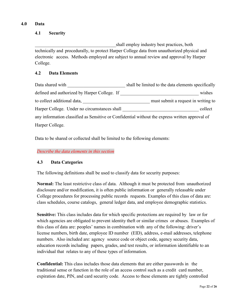# **4.0 Data**

# **4.1 Security**

shall employ industry best practices, both technically and procedurally, to protect Harper College data from unauthorized physical and electronic access. Methods employed are subject to annual review and approval by Harper College.

# **4.2 Data Elements**

| Data shared with                                                                                | shall be limited to the data elements specifically |
|-------------------------------------------------------------------------------------------------|----------------------------------------------------|
| defined and authorized by Harper College. If                                                    | wishes                                             |
| to collect additional data,                                                                     | must submit a request in writing to                |
| Harper College. Under no circumstances shall                                                    | collect                                            |
| any information classified as Sensitive or Confidential without the express written approval of |                                                    |
| Harper College.                                                                                 |                                                    |

Data to be shared or collected shall be limited to the following elements:

*Describe the data elements in this section*

# **4.3 Data Categories**

The following definitions shall be used to classify data for security purposes:

**Normal:** The least restrictive class of data. Although it must be protected from unauthorized disclosure and/or modification, it is often public information or generally releasable under College procedures for processing public records requests. Examples of this class of data are: class schedules, course catalogs, general ledger data, and employee demographic statistics.

**Sensitive:** This class includes data for which specific protections are required by law or for which agencies are obligated to prevent identity theft or similar crimes or abuses. Examples of this class of data are: peoples' names in combination with any of the following: driver's license numbers, birth date, employee ID number (EID), address, e-mail addresses, telephone numbers. Also included are: agency source code or object code, agency security data, education records including papers, grades, and test results, or information identifiable to an individual that relates to any of these types of information.

**Confidential:** This class includes those data elements that are either passwords in the traditional sense or function in the role of an access control such as a credit card number, expiration date, PIN, and card security code. Access to these elements are tightly controlled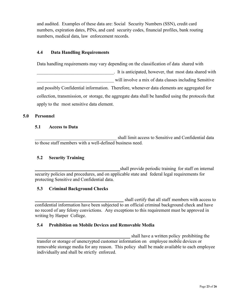and audited. Examples of these data are: Social Security Numbers (SSN), credit card numbers, expiration dates, PINs, and card security codes, financial profiles, bank routing numbers, medical data, law enforcement records.

# **4.4 Data Handling Requirements**

Data handling requirements may vary depending on the classification of data shared with

\_\_\_\_\_\_\_\_\_\_\_\_\_\_\_\_\_\_\_\_\_\_\_\_\_\_\_\_\_\_\_\_\_. It is anticipated, however, that most data shared with will involve a mix of data classes including Sensitive and possibly Confidential information. Therefore, whenever data elements are aggregated for collection, transmission, or storage, the aggregate data shall be handled using the protocols that apply to the most sensitive data element.

## **5.0 Personnel**

#### **5.1 Access to Data**

shall limit access to Sensitive and Confidential data to those staff members with a well-defined business need.

# **5.2 Security Training**

\_\_\_\_\_\_\_\_\_\_\_\_\_\_\_\_\_\_\_\_\_\_\_\_\_\_\_\_\_\_\_\_\_\_\_\_ shall provide periodic training for staff on internal security policies and procedures, and on applicable state and federal legal requirements for protecting Sensitive and Confidential data.

# **5.3 Criminal Background Checks**

shall certify that all staff members with access to confidential information have been subjected to an official criminal background check and have no record of any felony convictions. Any exceptions to this requirement must be approved in writing by Harper College.

# **5.4 Prohibition on Mobile Devices and Removable Media**

shall have a written policy prohibiting the transfer or storage of unencrypted customer information on employee mobile devices or removable storage media for any reason. This policy shall be made available to each employee individually and shall be strictly enforced.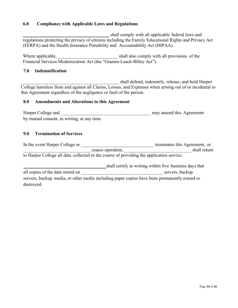# **6.0 Compliance with Applicable Laws and Regulations**

shall comply with all applicable federal laws and regulations protecting the privacy of citizens including the Family Educational Rights and Privacy Act (FERPA) and the Health Insurance Portability and Accountability Act (HIPAA).

Where applicable,  $\Box$  shall also comply with all provisions of the Financial Services Modernization Act (the "Gramm-Leach-Bliley Act").

# **7.0 Indemnification**

\_\_\_\_\_\_\_\_\_\_\_\_\_\_\_\_\_\_\_\_\_\_\_\_\_\_\_\_\_\_\_\_\_\_\_\_\_\_\_\_\_\_ shall defend, indemnify, release, and hold Harper College harmless from and against all Claims, Losses, and Expenses when arising out of or incidental to this Agreement regardless of the negligence or fault of the person.

#### **8.0 Amendments and Alterations to this Agreement**

Harper College and **Exercise 2.** The may amend this Agreement by mutual consent, in writing, at any time.

## **9.0 Termination of Services**

In the event Harper College or **Example 2018** terminates this Agreement, or \_\_\_\_\_\_\_\_\_\_\_\_\_\_\_\_\_\_\_\_\_\_\_\_\_\_\_\_\_ ceases operation, \_\_\_\_\_\_\_\_\_\_\_\_\_\_\_\_\_\_\_\_\_\_\_\_\_\_\_\_\_ shall return to Harper College all data collected in the course of providing the application service.

shall certify in writing within five business days that all copies of the data stored on  $\Box$ servers, backup media, or other media including paper copies have been permanently erased or destroyed.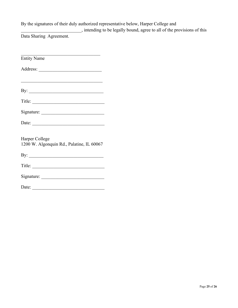# By the signatures of their duly authorized representative below, Harper College and

\_\_\_\_\_\_\_\_\_\_\_\_\_\_\_\_\_\_\_\_\_\_\_\_\_\_, intending to be legally bound, agree to all of the provisions of this

Data Sharing Agreement.

| <b>Entity Name</b>                                                                                                                                                                                                                                                                                                                                                                                            |
|---------------------------------------------------------------------------------------------------------------------------------------------------------------------------------------------------------------------------------------------------------------------------------------------------------------------------------------------------------------------------------------------------------------|
|                                                                                                                                                                                                                                                                                                                                                                                                               |
|                                                                                                                                                                                                                                                                                                                                                                                                               |
| By: $\qquad \qquad$                                                                                                                                                                                                                                                                                                                                                                                           |
| Title: $\qquad \qquad$                                                                                                                                                                                                                                                                                                                                                                                        |
|                                                                                                                                                                                                                                                                                                                                                                                                               |
| Date: $\qquad \qquad$                                                                                                                                                                                                                                                                                                                                                                                         |
| Harper College<br>1200 W. Algonquin Rd., Palatine, IL 60067                                                                                                                                                                                                                                                                                                                                                   |
|                                                                                                                                                                                                                                                                                                                                                                                                               |
| Title: $\qquad \qquad$                                                                                                                                                                                                                                                                                                                                                                                        |
|                                                                                                                                                                                                                                                                                                                                                                                                               |
| Date: $\frac{1}{\sqrt{1-\frac{1}{2}}\sqrt{1-\frac{1}{2}}\sqrt{1-\frac{1}{2}}\sqrt{1-\frac{1}{2}}\sqrt{1-\frac{1}{2}}\sqrt{1-\frac{1}{2}}\sqrt{1-\frac{1}{2}}\sqrt{1-\frac{1}{2}}\sqrt{1-\frac{1}{2}}\sqrt{1-\frac{1}{2}}\sqrt{1-\frac{1}{2}}\sqrt{1-\frac{1}{2}}\sqrt{1-\frac{1}{2}}\sqrt{1-\frac{1}{2}}\sqrt{1-\frac{1}{2}}\sqrt{1-\frac{1}{2}}\sqrt{1-\frac{1}{2}}\sqrt{1-\frac{1}{2}}\sqrt{1-\frac{1}{2}}$ |